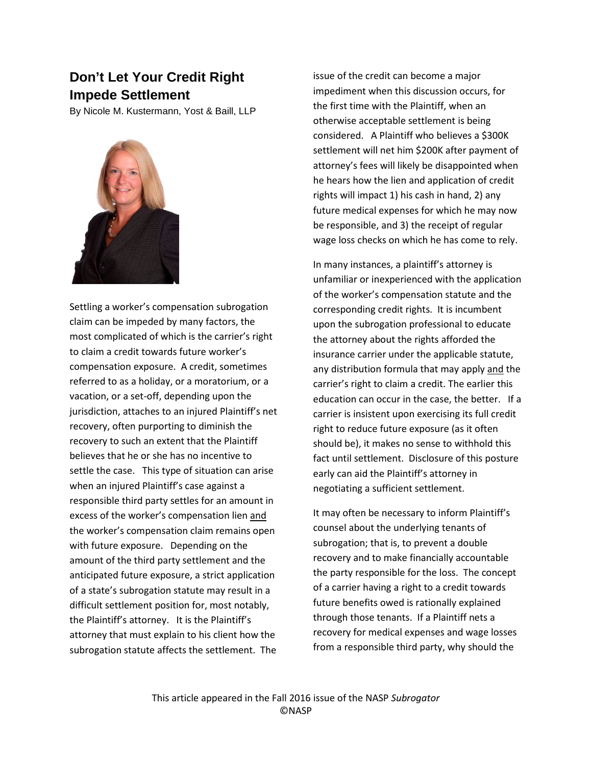## **Don't Let Your Credit Right Impede Settlement**

By Nicole M. Kustermann, Yost & Baill, LLP



Settling a worker's compensation subrogation claim can be impeded by many factors, the most complicated of which is the carrier's right to claim a credit towards future worker's compensation exposure. A credit, sometimes referred to as a holiday, or a moratorium, or a vacation, or a set-off, depending upon the jurisdiction, attaches to an injured Plaintiff's net recovery, often purporting to diminish the recovery to such an extent that the Plaintiff believes that he or she has no incentive to settle the case. This type of situation can arise when an injured Plaintiff's case against a responsible third party settles for an amount in excess of the worker's compensation lien and the worker's compensation claim remains open with future exposure. Depending on the amount of the third party settlement and the anticipated future exposure, a strict application of a state's subrogation statute may result in a difficult settlement position for, most notably, the Plaintiff's attorney. It is the Plaintiff's attorney that must explain to his client how the subrogation statute affects the settlement. The

issue of the credit can become a major impediment when this discussion occurs, for the first time with the Plaintiff, when an otherwise acceptable settlement is being considered. A Plaintiff who believes a \$300K settlement will net him \$200K after payment of attorney's fees will likely be disappointed when he hears how the lien and application of credit rights will impact 1) his cash in hand, 2) any future medical expenses for which he may now be responsible, and 3) the receipt of regular wage loss checks on which he has come to rely.

In many instances, a plaintiff's attorney is unfamiliar or inexperienced with the application of the worker's compensation statute and the corresponding credit rights. It is incumbent upon the subrogation professional to educate the attorney about the rights afforded the insurance carrier under the applicable statute, any distribution formula that may apply and the carrier's right to claim a credit. The earlier this education can occur in the case, the better. If a carrier is insistent upon exercising its full credit right to reduce future exposure (as it often should be), it makes no sense to withhold this fact until settlement. Disclosure of this posture early can aid the Plaintiff's attorney in negotiating a sufficient settlement.

It may often be necessary to inform Plaintiff's counsel about the underlying tenants of subrogation; that is, to prevent a double recovery and to make financially accountable the party responsible for the loss. The concept of a carrier having a right to a credit towards future benefits owed is rationally explained through those tenants. If a Plaintiff nets a recovery for medical expenses and wage losses from a responsible third party, why should the

This article appeared in the Fall 2016 issue of the NASP *Subrogator* ©NASP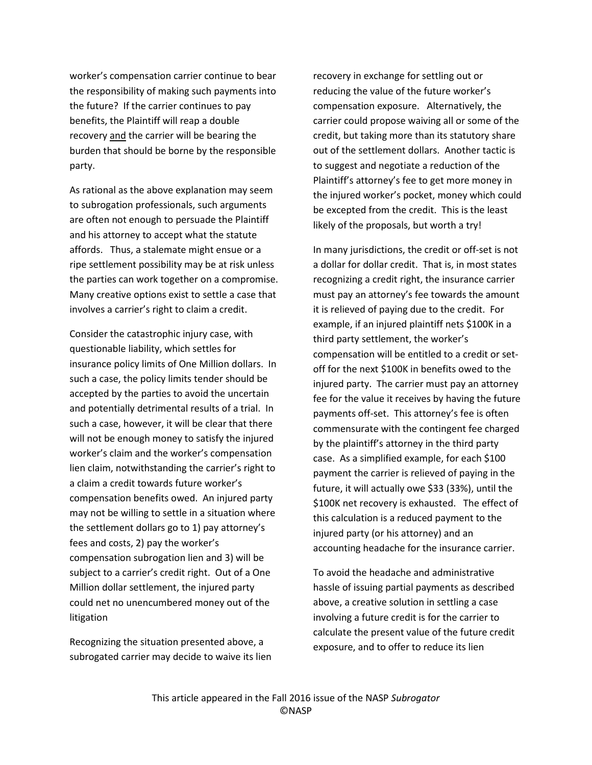worker's compensation carrier continue to bear the responsibility of making such payments into the future? If the carrier continues to pay benefits, the Plaintiff will reap a double recovery and the carrier will be bearing the burden that should be borne by the responsible party.

As rational as the above explanation may seem to subrogation professionals, such arguments are often not enough to persuade the Plaintiff and his attorney to accept what the statute affords. Thus, a stalemate might ensue or a ripe settlement possibility may be at risk unless the parties can work together on a compromise. Many creative options exist to settle a case that involves a carrier's right to claim a credit.

Consider the catastrophic injury case, with questionable liability, which settles for insurance policy limits of One Million dollars. In such a case, the policy limits tender should be accepted by the parties to avoid the uncertain and potentially detrimental results of a trial. In such a case, however, it will be clear that there will not be enough money to satisfy the injured worker's claim and the worker's compensation lien claim, notwithstanding the carrier's right to a claim a credit towards future worker's compensation benefits owed. An injured party may not be willing to settle in a situation where the settlement dollars go to 1) pay attorney's fees and costs, 2) pay the worker's compensation subrogation lien and 3) will be subject to a carrier's credit right. Out of a One Million dollar settlement, the injured party could net no unencumbered money out of the litigation

Recognizing the situation presented above, a subrogated carrier may decide to waive its lien

recovery in exchange for settling out or reducing the value of the future worker's compensation exposure. Alternatively, the carrier could propose waiving all or some of the credit, but taking more than its statutory share out of the settlement dollars. Another tactic is to suggest and negotiate a reduction of the Plaintiff's attorney's fee to get more money in the injured worker's pocket, money which could be excepted from the credit. This is the least likely of the proposals, but worth a try!

In many jurisdictions, the credit or off-set is not a dollar for dollar credit. That is, in most states recognizing a credit right, the insurance carrier must pay an attorney's fee towards the amount it is relieved of paying due to the credit. For example, if an injured plaintiff nets \$100K in a third party settlement, the worker's compensation will be entitled to a credit or setoff for the next \$100K in benefits owed to the injured party. The carrier must pay an attorney fee for the value it receives by having the future payments off-set. This attorney's fee is often commensurate with the contingent fee charged by the plaintiff's attorney in the third party case. As a simplified example, for each \$100 payment the carrier is relieved of paying in the future, it will actually owe \$33 (33%), until the \$100K net recovery is exhausted. The effect of this calculation is a reduced payment to the injured party (or his attorney) and an accounting headache for the insurance carrier.

To avoid the headache and administrative hassle of issuing partial payments as described above, a creative solution in settling a case involving a future credit is for the carrier to calculate the present value of the future credit exposure, and to offer to reduce its lien